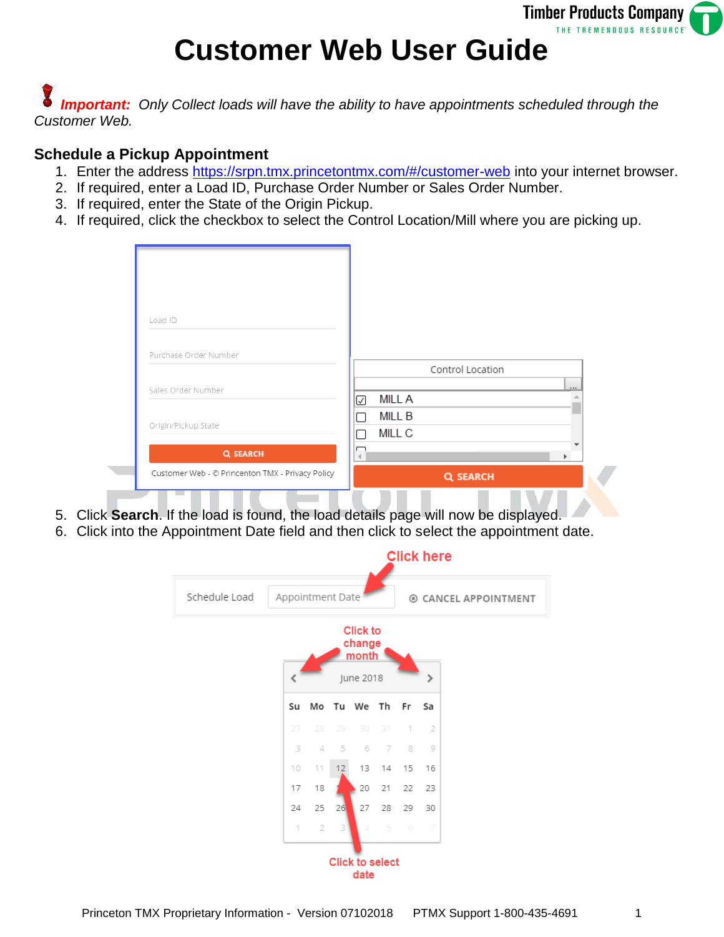

## **Customer Web User Guide**

**Important:** Only Collect loads will have the ability to have appointments scheduled through the *Customer Web.*

## **Schedule a Pickup Appointment**

- 1. Enter the address<https://srpn.tmx.princetontmx.com/#/customer-web> into your internet browser.
- 2. If required, enter a Load ID, Purchase Order Number or Sales Order Number.
- 3. If required, enter the State of the Origin Pickup.
- 4. If required, click the checkbox to select the Control Location/Mill where you are picking up.

| Control Location<br>Sales Order Number<br><b>MILLA</b><br>ø<br><b>MILL B</b><br>Origin/Pickup State<br>MILL C<br><b>Q SEARCH</b><br>ь. | Customer Web - © Princenton TMX - Privacy Policy | Q SEARCH |  |
|----------------------------------------------------------------------------------------------------------------------------------------|--------------------------------------------------|----------|--|
|                                                                                                                                        |                                                  |          |  |
|                                                                                                                                        |                                                  |          |  |
|                                                                                                                                        |                                                  |          |  |
|                                                                                                                                        |                                                  |          |  |
|                                                                                                                                        |                                                  |          |  |
|                                                                                                                                        | Purchase Order Number                            |          |  |
|                                                                                                                                        |                                                  |          |  |
|                                                                                                                                        | Load ID                                          |          |  |
|                                                                                                                                        |                                                  |          |  |
|                                                                                                                                        |                                                  |          |  |

- 5. Click **Search**. If the load is found, the load details page will now be displayed.
- 6. Click into the Appointment Date field and then click to select the appointment date.